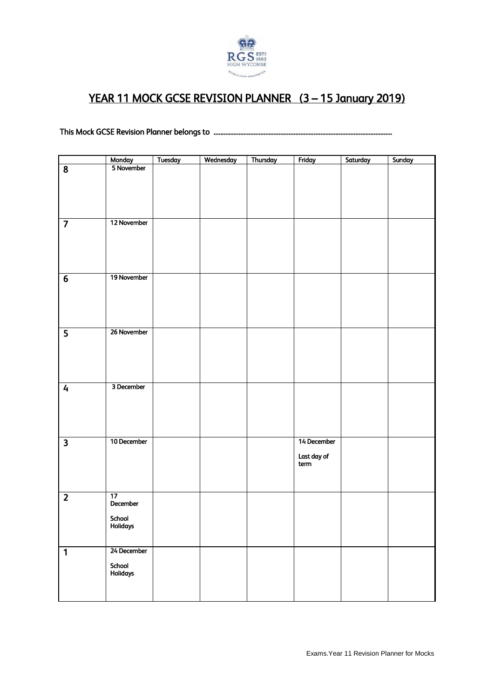

## YEAR 11 MOCK GCSE REVISION PLANNER (3 – 15 January 2019)

This Mock GCSE Revision Planner belongs to ...........................................................................................................

|                         |                      | Tuesday | Wednesday | Thursday | Friday      | Saturday | Sunday |
|-------------------------|----------------------|---------|-----------|----------|-------------|----------|--------|
| $\overline{\mathbf{8}}$ | Monday<br>5 November |         |           |          |             |          |        |
|                         |                      |         |           |          |             |          |        |
|                         |                      |         |           |          |             |          |        |
|                         |                      |         |           |          |             |          |        |
|                         |                      |         |           |          |             |          |        |
|                         |                      |         |           |          |             |          |        |
|                         |                      |         |           |          |             |          |        |
|                         | 12 November          |         |           |          |             |          |        |
|                         |                      |         |           |          |             |          |        |
|                         |                      |         |           |          |             |          |        |
|                         |                      |         |           |          |             |          |        |
|                         |                      |         |           |          |             |          |        |
|                         |                      |         |           |          |             |          |        |
|                         |                      |         |           |          |             |          |        |
| $\overline{6}$          | 19 November          |         |           |          |             |          |        |
|                         |                      |         |           |          |             |          |        |
|                         |                      |         |           |          |             |          |        |
|                         |                      |         |           |          |             |          |        |
|                         |                      |         |           |          |             |          |        |
|                         |                      |         |           |          |             |          |        |
|                         |                      |         |           |          |             |          |        |
| $\overline{\mathbf{5}}$ | 26 November          |         |           |          |             |          |        |
|                         |                      |         |           |          |             |          |        |
|                         |                      |         |           |          |             |          |        |
|                         |                      |         |           |          |             |          |        |
|                         |                      |         |           |          |             |          |        |
|                         |                      |         |           |          |             |          |        |
|                         | 3 December           |         |           |          |             |          |        |
| $\overline{4}$          |                      |         |           |          |             |          |        |
|                         |                      |         |           |          |             |          |        |
|                         |                      |         |           |          |             |          |        |
|                         |                      |         |           |          |             |          |        |
|                         |                      |         |           |          |             |          |        |
|                         |                      |         |           |          |             |          |        |
| $\overline{\mathbf{3}}$ | 10 December          |         |           |          | 14 December |          |        |
|                         |                      |         |           |          |             |          |        |
|                         |                      |         |           |          | Last day of |          |        |
|                         |                      |         |           |          | term        |          |        |
|                         |                      |         |           |          |             |          |        |
|                         |                      |         |           |          |             |          |        |
|                         |                      |         |           |          |             |          |        |
| $\overline{2}$          | $\overline{17}$      |         |           |          |             |          |        |
|                         | December             |         |           |          |             |          |        |
|                         |                      |         |           |          |             |          |        |
|                         | School               |         |           |          |             |          |        |
|                         | Holidays             |         |           |          |             |          |        |
|                         |                      |         |           |          |             |          |        |
|                         |                      |         |           |          |             |          |        |
| $\overline{1}$          | 24 December          |         |           |          |             |          |        |
|                         |                      |         |           |          |             |          |        |
|                         | School<br>Holidays   |         |           |          |             |          |        |
|                         |                      |         |           |          |             |          |        |
|                         |                      |         |           |          |             |          |        |
|                         |                      |         |           |          |             |          |        |
|                         |                      |         |           |          |             |          |        |